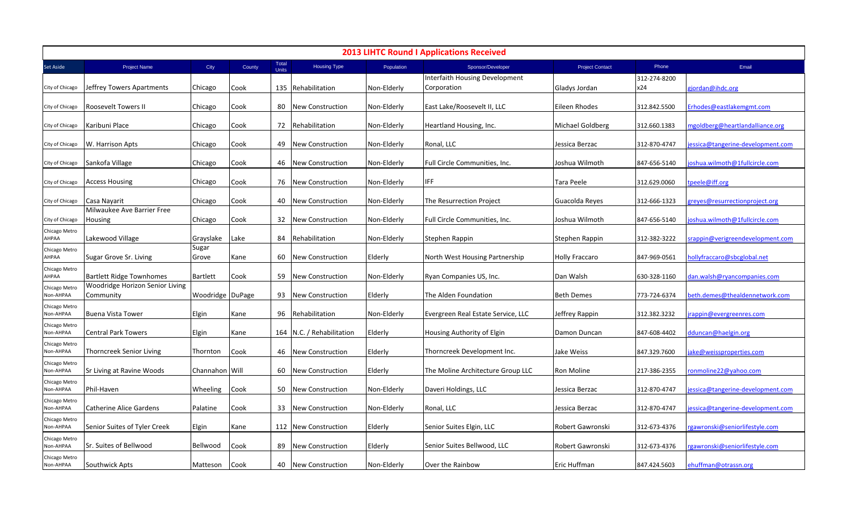| <b>2013 LIHTC Round I Applications Received</b> |                                              |                  |        |                |                           |             |                                    |                        |              |                                   |  |
|-------------------------------------------------|----------------------------------------------|------------------|--------|----------------|---------------------------|-------------|------------------------------------|------------------------|--------------|-----------------------------------|--|
| Set Aside                                       | Project Name                                 | City             | County | Total<br>Units | <b>Housing Type</b>       | Population  | Sponsor/Developer                  | <b>Project Contact</b> | Phone        | Email                             |  |
|                                                 |                                              |                  |        |                |                           |             | Interfaith Housing Development     |                        | 312-274-8200 |                                   |  |
| City of Chicago                                 | Jeffrey Towers Apartments                    | Chicago          | Cook   |                | 135 Rehabilitation        | Non-Elderly | Corporation                        | Gladys Jordan          | x24          | gjordan@ihdc.org                  |  |
| City of Chicago                                 | Roosevelt Towers II                          | Chicago          | Cook   | 80             | <b>New Construction</b>   | Non-Elderly | East Lake/Roosevelt II, LLC        | Eileen Rhodes          | 312.842.5500 | Erhodes@eastlakemgmt.com          |  |
| City of Chicago                                 | Karibuni Place                               | Chicago          | Cook   | 72             | Rehabilitation            | Non-Elderly | Heartland Housing, Inc.            | Michael Goldberg       | 312.660.1383 | ngoldberg@heartlandalliance.org   |  |
| City of Chicago                                 | W. Harrison Apts                             | Chicago          | Cook   | 49             | <b>New Construction</b>   | Non-Elderly | Ronal, LLC                         | Jessica Berzac         | 312-870-4747 | essica@tangerine-development.com  |  |
| City of Chicago                                 | Sankofa Village                              | Chicago          | Cook   | 46             | New Construction          | Non-Elderly | Full Circle Communities, Inc.      | Joshua Wilmoth         | 847-656-5140 | oshua.wilmoth@1fullcircle.com     |  |
| City of Chicago                                 | <b>Access Housing</b>                        | Chicago          | Cook   | 76             | New Construction          | Non-Elderly | IFF.                               | Tara Peele             | 312.629.0060 | tpeele@iff.org                    |  |
| City of Chicago                                 | Casa Nayarit                                 | Chicago          | Cook   | 40             | New Construction          | Non-Elderly | The Resurrection Project           | Guacolda Reyes         | 312-666-1323 | greyes@resurrectionproject.org    |  |
| City of Chicago                                 | Milwaukee Ave Barrier Free<br>Housing        | Chicago          | Cook   | 32             | New Construction          | Non-Elderly | Full Circle Communities, Inc.      | Joshua Wilmoth         | 847-656-5140 | oshua.wilmoth@1fullcircle.com     |  |
| Chicago Metro<br>AHPAA                          | Lakewood Village                             | Grayslake        | Lake   | 84             | Rehabilitation            | Non-Elderly | Stephen Rappin                     | Stephen Rappin         | 312-382-3222 | srappin@verigreendevelopment.com  |  |
| Chicago Metro<br>AHPAA                          | Sugar Grove Sr. Living                       | Sugar<br>Grove   | Kane   | 60             | New Construction          | Elderly     | North West Housing Partnership     | <b>Holly Fraccaro</b>  | 847-969-0561 | ollyfraccaro@sbcglobal.net        |  |
| Chicago Metro<br>AHPAA                          | <b>Bartlett Ridge Townhomes</b>              | <b>Bartlett</b>  | Cook   | 59             | <b>New Construction</b>   | Non-Elderly | Ryan Companies US, Inc.            | Dan Walsh              | 630-328-1160 | dan.walsh@ryancompanies.com       |  |
| Chicago Metro<br>Non-AHPAA                      | Woodridge Horizon Senior Living<br>Community | Woodridge DuPage |        | 93             | New Construction          | Elderly     | The Alden Foundation               | <b>Beth Demes</b>      | 773-724-6374 | beth.demes@thealdennetwork.com    |  |
| Chicago Metro<br>Non-AHPAA                      | <b>Buena Vista Tower</b>                     | Elgin            | Kane   | 96             | Rehabilitation            | Non-Elderly | Evergreen Real Estate Service, LLC | Jeffrey Rappin         | 312.382.3232 | rappin@evergreenres.com           |  |
| Chicago Metro<br>Non-AHPAA                      | <b>Central Park Towers</b>                   | Elgin            | Kane   |                | 164 N.C. / Rehabilitation | Elderly     | Housing Authority of Elgin         | Damon Duncan           | 847-608-4402 | dduncan@haelgin.org               |  |
| Chicago Metro<br><b>Non-AHPAA</b>               | Thorncreek Senior Living                     | Thornton         | Cook   | 46             | New Construction          | Elderly     | Thorncreek Development Inc.        | Jake Weiss             | 847.329.7600 | ake@weissproperties.com           |  |
| Chicago Metro<br>Non-AHPAA                      | Sr Living at Ravine Woods                    | Channahon Will   |        | 60             | <b>New Construction</b>   | Elderly     | The Moline Architecture Group LLC  | Ron Moline             | 217-386-2355 | onmoline22@yahoo.com              |  |
| Chicago Metro<br>Non-AHPAA                      | Phil-Haven                                   | Wheeling         | Cook   | 50             | New Construction          | Non-Elderly | Daveri Holdings, LLC               | Jessica Berzac         | 312-870-4747 | jessica@tangerine-development.com |  |
| Chicago Metro<br>Non-AHPAA                      | <b>Catherine Alice Gardens</b>               | Palatine         | Cook   | 33             | <b>New Construction</b>   | Non-Elderly | Ronal, LLC                         | Jessica Berzac         | 312-870-4747 | essica@tangerine-development.com  |  |
| Chicago Metro<br>Non-AHPAA                      | Senior Suites of Tyler Creek                 | Elgin            | Kane   |                | 112 New Construction      | Elderly     | Senior Suites Elgin, LLC           | Robert Gawronski       | 312-673-4376 | rgawronski@seniorlifestyle.com    |  |
| Chicago Metro<br>Non-AHPAA                      | Sr. Suites of Bellwood                       | Bellwood         | Cook   | 89             | New Construction          | Elderly     | Senior Suites Bellwood, LLC        | Robert Gawronski       | 312-673-4376 | gawronski@seniorlifestyle.com     |  |
| Chicago Metro<br>Non-AHPAA                      | Southwick Apts                               | Matteson         | Cook   | 40             | New Construction          | Non-Elderly | Over the Rainbow                   | Eric Huffman           | 847.424.5603 | ehuffman@otrassn.org              |  |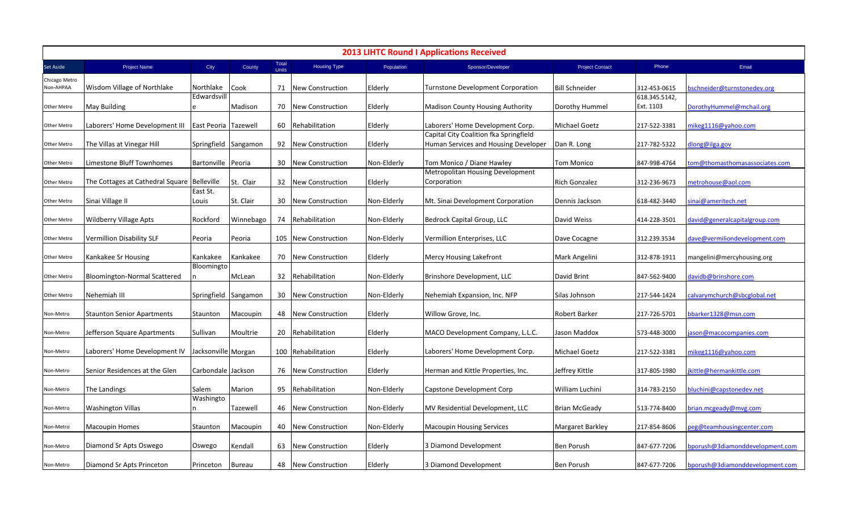| <b>2013 LIHTC Round I Applications Received</b> |                                             |                      |               |                       |                         |             |                                                                                |                        |                            |                                 |  |
|-------------------------------------------------|---------------------------------------------|----------------------|---------------|-----------------------|-------------------------|-------------|--------------------------------------------------------------------------------|------------------------|----------------------------|---------------------------------|--|
| Set Aside                                       | Project Name                                | City                 | County        | Total<br><b>Units</b> | <b>Housing Type</b>     | Population  | Sponsor/Developer                                                              | <b>Project Contact</b> | Phone                      | Email                           |  |
| Chicago Metro<br>Non-AHPAA                      | Wisdom Village of Northlake                 | Northlake            | Cook          | 71                    | <b>New Construction</b> | Elderly     | <b>Turnstone Development Corporation</b>                                       | <b>Bill Schneider</b>  | 312-453-0615               | oschneider@turnstonedev.org     |  |
| Other Metro                                     | <b>May Building</b>                         | Edwardsvill<br>e     | Madison       | 70                    | <b>New Construction</b> | Elderly     | <b>Madison County Housing Authority</b>                                        | Dorothy Hummel         | 618.345.5142,<br>Ext. 1103 | DorothyHummel@mchail.org        |  |
| Other Metro                                     | Laborers' Home Development III              | East Peoria Tazewell |               | 60                    | Rehabilitation          | Elderly     | Laborers' Home Development Corp.                                               | Michael Goetz          | 217-522-3381               | nikeg1116@yahoo.com             |  |
| Other Metro                                     | The Villas at Vinegar Hill                  | Springfield Sangamon |               | 92                    | <b>New Construction</b> | Elderly     | Capital City Coalition fka Springfield<br>Human Services and Housing Developer | Dan R. Long            | 217-782-5322               | dlong@ilga.gov                  |  |
| Other Metro                                     | Limestone Bluff Townhomes                   | Bartonville   Peoria |               | 30                    | New Construction        | Non-Elderly | Tom Monico / Diane Hawley                                                      | Tom Monico             | 847-998-4764               | com@thomasthomasassociates.com  |  |
| Other Metro                                     | The Cottages at Cathedral Square Belleville |                      | St. Clair     | 32                    | <b>New Construction</b> | Elderly     | Metropolitan Housing Development<br>Corporation                                | Rich Gonzalez          | 312-236-9673               | netrohouse@aol.com              |  |
| Other Metro                                     | Sinai Village II                            | East St.<br>Louis    | St. Clair     | 30                    | New Construction        | Non-Elderly | Mt. Sinai Development Corporation                                              | Dennis Jackson         | 618-482-3440               | sinai@ameritech.net             |  |
| Other Metro                                     | <b>Wildberry Village Apts</b>               | Rockford             | Winnebago     | 74                    | Rehabilitation          | Non-Elderly | Bedrock Capital Group, LLC                                                     | David Weiss            | 414-228-3501               | david@generalcapitalgroup.com   |  |
| Other Metro                                     | Vermillion Disability SLF                   | Peoria               | Peoria        |                       | 105 New Construction    | Non-Elderly | Vermillion Enterprises, LLC                                                    | Dave Cocagne           | 312.239.3534               | dave@vermiliondevelopment.com   |  |
| Other Metro                                     | Kankakee Sr Housing                         | Kankakee             | Kankakee      | 70                    | <b>New Construction</b> | Elderly     | Mercy Housing Lakefront                                                        | Mark Angelini          | 312-878-1911               | mangelini@mercyhousing.org      |  |
| Other Metro                                     | Bloomington-Normal Scattered                | Bloomingto           | McLean        | 32                    | Rehabilitation          | Non-Elderly | Brinshore Development, LLC                                                     | David Brint            | 847-562-9400               | lavidb@brinshore.com            |  |
| Other Metro                                     | Nehemiah III                                | Springfield Sangamon |               | 30                    | New Construction        | Non-Elderly | Nehemiah Expansion, Inc. NFP                                                   | Silas Johnson          | 217-544-1424               | calvarymchurch@sbcglobal.net    |  |
| Non-Metro                                       | <b>Staunton Senior Apartments</b>           | Staunton             | Macoupin      | 48                    | <b>New Construction</b> | Elderly     | Willow Grove, Inc.                                                             | Robert Barker          | 217-726-5701               | bbarker1328@msn.com             |  |
| Non-Metro                                       | Jefferson Square Apartments                 | Sullivan             | Moultrie      | 20                    | Rehabilitation          | Elderly     | MACO Development Company, L.L.C.                                               | Jason Maddox           | 573-448-3000               | ason@macocompanies.com          |  |
| Non-Metro                                       | Laborers' Home Development IV               | Jacksonville Morgan  |               | 100                   | Rehabilitation          | Elderly     | Laborers' Home Development Corp.                                               | Michael Goetz          | 217-522-3381               | nikeg1116@yahoo.com             |  |
| Non-Metro                                       | Senior Residences at the Glen               | Carbondale Jackson   |               | 76                    | <b>New Construction</b> | Elderly     | Herman and Kittle Properties, Inc.                                             | Jeffrey Kittle         | 317-805-1980               | kittle@hermankittle.com         |  |
| Non-Metro                                       | The Landings                                | Salem                | Marion        | 95                    | Rehabilitation          | Non-Elderly | Capstone Development Corp                                                      | William Luchini        | 314-783-2150               | bluchini@capstonedev.net        |  |
| Non-Metro                                       | <b>Washington Villas</b>                    | Washingto            | Tazewell      | 46                    | New Construction        | Non-Elderly | MV Residential Development, LLC                                                | <b>Brian McGeady</b>   | 513-774-8400               | vrian.mcgeady@mvg.com           |  |
| Non-Metro                                       | <b>Macoupin Homes</b>                       | Staunton             | Macoupin      | 40                    | <b>New Construction</b> | Non-Elderly | <b>Macoupin Housing Services</b>                                               | Margaret Barkley       | 217-854-8606               | eg@teamhousingcenter.com        |  |
| Non-Metro                                       | Diamond Sr Apts Oswego                      | Oswego               | Kendall       | 63                    | New Construction        | Elderly     | 3 Diamond Development                                                          | Ben Porush             | 847-677-7206               | oporush@3diamonddevelopment.com |  |
| Non-Metro                                       | Diamond Sr Apts Princeton                   | Princeton            | <b>Bureau</b> | 48                    | New Construction        | Elderly     | 3 Diamond Development                                                          | <b>Ben Porush</b>      | 847-677-7206               | bporush@3diamonddevelopment.com |  |